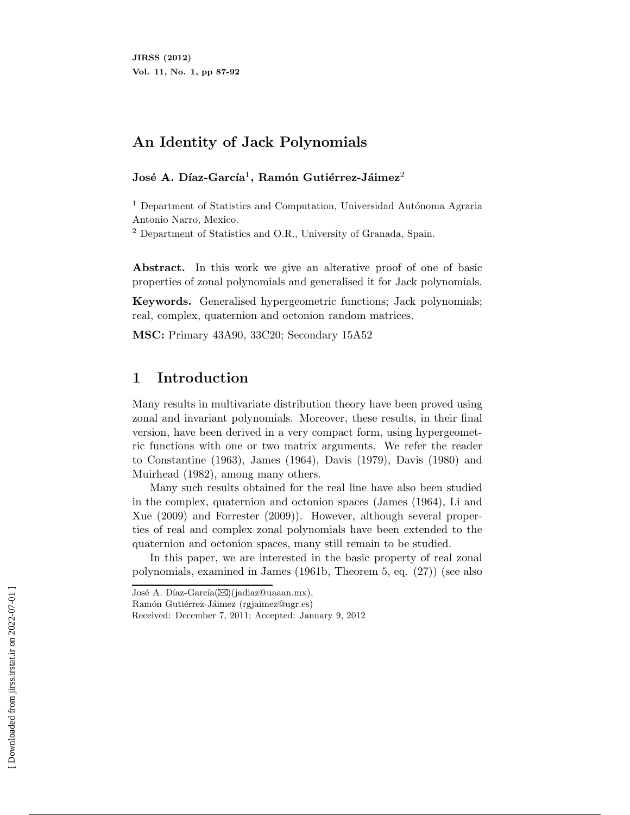# **An Identity of Jack Polynomials**

#### José A. Díaz-García<sup>1</sup>, Ramón Gutiérrez-Jáimez<sup>2</sup>

 $1$  Department of Statistics and Computation, Universidad Autónoma Agraria Antonio Narro, Mexico.

<sup>2</sup> Department of Statistics and O.R., University of Granada, Spain.

Abstract. In this work we give an alterative proof of one of basic properties of zonal polynomials and generalised it for Jack polynomials.

**Keywords.** Generalised hypergeometric functions; Jack polynomials; real, complex, quaternion and octonion random matrices.

**MSC:** Primary 43A90, 33C20; Secondary 15A52

## **1 Introduction**

Many results in multivariate distribution theory have been proved using zonal and invariant polynomials. Moreover, these results, in their final version, have been derived in a very compact form, using hypergeometric functions with one or two matrix arguments. We refer the reader to Constantine (1963), James (1964), Davis (1979), Davis (1980) and Muirhead (1982), among many others.

Many such results obtained for the real line have also been studied in the complex, quaternion and octonion spaces (James (1964), Li and Xue (2009) and Forrester (2009)). However, although several properties of real and complex zonal polynomials have been extended to the quaternion and octonion spaces, many still remain to be studied.

In this paper, we are interested in the basic property of real zonal polynomials, examined in James (1961b, Theorem 5, eq. (27)) (see also

José A. Díaz-García( $\boxtimes$ )(jadiaz@uaaan.mx),

Ramón Gutiérrez-Jáimez (rgjaimez@ugr.es)

Received: December 7, 2011; Accepted: January 9, 2012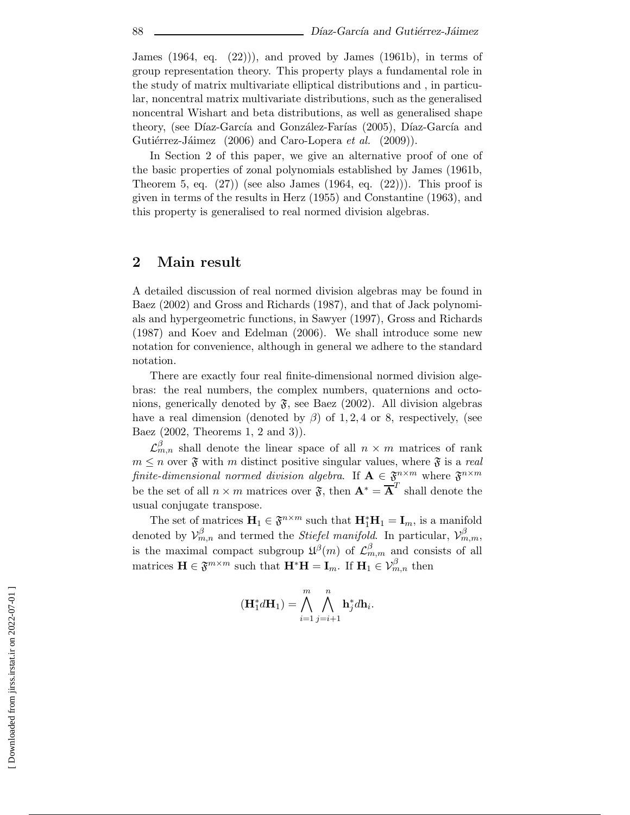James (1964, eq. (22))), and proved by James (1961b), in terms of group representation theory. This property plays a fundamental role in the study of matrix multivariate elliptical distributions and , in particular, noncentral matrix multivariate distributions, such as the generalised noncentral Wishart and beta distributions, as well as generalised shape theory, (see Díaz-García and González-Farías (2005), Díaz-García and Gutiérrez-Jáimez (2006) and Caro-Lopera *et al.* (2009)).

In Section 2 of this paper, we give an alternative proof of one of the basic properties of zonal polynomials established by James (1961b, Theorem 5, eq.  $(27)$  (see also James  $(1964, \text{ eq. } (22))$ ). This proof is given in terms of the results in Herz (1955) and Constantine (1963), and this property is generalised to real normed division algebras.

#### **2 Main result**

A detailed discussion of real normed division algebras may be found in Baez (2002) and Gross and Richards (1987), and that of Jack polynomials and hypergeometric functions, in Sawyer (1997), Gross and Richards (1987) and Koev and Edelman (2006). We shall introduce some new notation for convenience, although in general we adhere to the standard notation.

There are exactly four real finite-dimensional normed division algebras: the real numbers, the complex numbers, quaternions and octonions, generically denoted by  $\mathfrak{F}$ , see Baez (2002). All division algebras have a real dimension (denoted by  $\beta$ ) of 1, 2, 4 or 8, respectively, (see Baez (2002, Theorems 1, 2 and 3)).

 $\mathcal{L}_{m,n}^{\beta}$  shall denote the linear space of all  $n \times m$  matrices of rank  $m \leq n$  over  $\mathfrak{F}$  with m distinct positive singular values, where  $\mathfrak{F}$  is a *real finite-dimensional normed division algebra.* If  $A \in \mathfrak{F}^{n \times m}$  where  $\mathfrak{F}^{n \times m}$ be the set of all  $n \times m$  matrices over  $\tilde{\mathbf{x}}$ , then  $\mathbf{A}^* = \overline{\mathbf{A}}^T$  shall denote the usual conjugate transpose.

The set of matrices  $\mathbf{H}_1 \in \mathfrak{F}^{n \times m}$  such that  $\mathbf{H}_1^* \mathbf{H}_1 = \mathbf{I}_m$ , is a manifold denoted by  $\mathcal{V}_{m,n}^{\beta}$  and termed the *Stiefel manifold*. In particular,  $\mathcal{V}_{m,m}^{\beta}$ , is the maximal compact subgroup  $\mathfrak{U}^{\beta}(m)$  of  $\mathcal{L}_{m,m}^{\beta}$  and consists of all matrices  $\mathbf{H} \in \mathfrak{F}^{m \times m}$  such that  $\mathbf{H}^* \mathbf{H} = \mathbf{I}_m$ . If  $\mathbf{H}_1 \in \mathcal{V}_{m,n}^{\beta}$  then

$$
(\mathbf{H}_1^* d \mathbf{H}_1) = \bigwedge_{i=1}^m \bigwedge_{j=i+1}^n \mathbf{h}_j^* d \mathbf{h}_i.
$$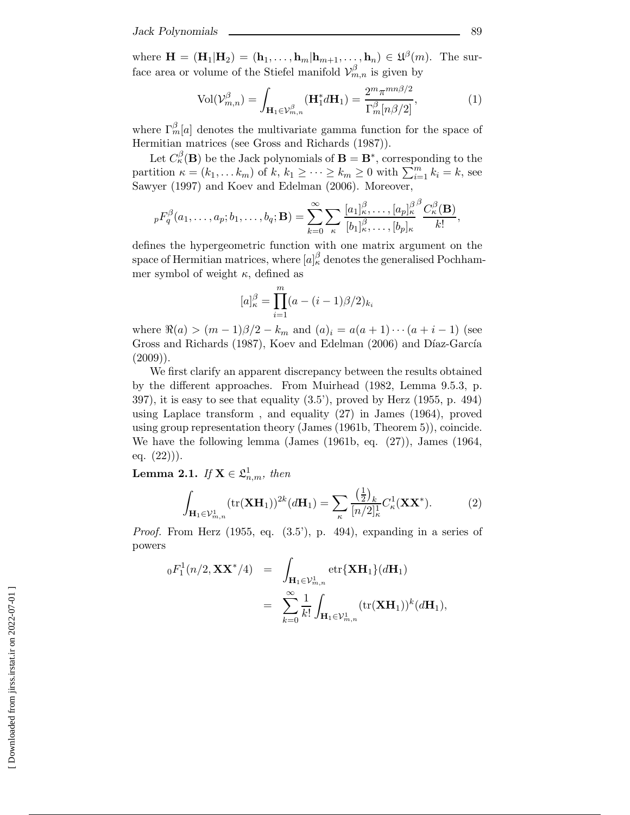where  $\mathbf{H} = (\mathbf{H}_1 | \mathbf{H}_2) = (\mathbf{h}_1, \dots, \mathbf{h}_m | \mathbf{h}_{m+1}, \dots, \mathbf{h}_n) \in \mathfrak{U}^{\beta}(m)$ . The surface area or volume of the Stiefel manifold  $\mathcal{V}_{m,n}^{\beta}$  is given by

$$
\text{Vol}(\mathcal{V}_{m,n}^{\beta}) = \int_{\mathbf{H}_1 \in \mathcal{V}_{m,n}^{\beta}} (\mathbf{H}_1^* d\mathbf{H}_1) = \frac{2^m \pi^{mn\beta/2}}{\Gamma_m^{\beta}[n\beta/2]},
$$
(1)

where  $\Gamma_m^{\beta}[a]$  denotes the multivariate gamma function for the space of Hermitian matrices (see Gross and Richards (1987)).

Let  $C_{\kappa}^{\beta}(\mathbf{B})$  be the Jack polynomials of  $\mathbf{B} = \mathbf{B}^*$ , corresponding to the partition  $\kappa = (k_1, \dots k_m)$  of  $k, k_1 \geq \dots \geq k_m \geq 0$  with  $\sum_{i=1}^m k_i = k$ , see Sawyer (1997) and Koev and Edelman (2006). Moreover,

$$
{}_pF_q^{\beta}(a_1,\ldots,a_p;b_1,\ldots,b_q;\mathbf{B})=\sum_{k=0}^{\infty}\sum_{\kappa}\frac{[a_1]_{\kappa}^{\beta}\ldots,[a_p]_{\kappa}^{\beta}\beta}{[b_1]_{\kappa}^{\beta},\ldots,[b_p]_{\kappa}}\frac{C_{\kappa}^{\beta}(\mathbf{B})}{k!},
$$

defines the hypergeometric function with one matrix argument on the space of Hermitian matrices, where  $[a]_{\kappa}^{\beta}$  denotes the generalised Pochhammer symbol of weight  $\kappa$ , defined as

$$
[a]_{\kappa}^{\beta} = \prod_{i=1}^{m} (a - (i-1)\beta/2)_{k_i}
$$

where  $\Re(a) > (m-1)\beta/2 - k_m$  and  $(a)_i = a(a+1)\cdots(a+i-1)$  (see Gross and Richards (1987), Koev and Edelman (2006) and Díaz-García  $(2009)$ ).

We first clarify an apparent discrepancy between the results obtained by the different approaches. From Muirhead (1982, Lemma 9.5.3, p. 397), it is easy to see that equality (3.5'), proved by Herz (1955, p. 494) using Laplace transform , and equality (27) in James (1964), proved using group representation theory (James (1961b, Theorem 5)), coincide. We have the following lemma (James (1961b, eq. (27)), James (1964, eq.  $(22))$ .

 $\textbf{Lemma 2.1.} \ \textit{If} \ \textbf{X} \in \mathfrak{L}^1_{n,m}, \ \textit{then}$ 

$$
\int_{\mathbf{H}_1 \in \mathcal{V}_{m,n}^1} (\text{tr}(\mathbf{X} \mathbf{H}_1))^{2k} (d\mathbf{H}_1) = \sum_{\kappa} \frac{\left(\frac{1}{2}\right)_k}{[n/2]_{\kappa}^1} C_{\kappa}^1(\mathbf{X} \mathbf{X}^*). \tag{2}
$$

*Proof.* From Herz (1955, eq.  $(3.5^{\circ})$ , p. 494), expanding in a series of powers

$$
{}_{0}F_{1}^{1}(n/2, \mathbf{XX}^{*}/4) = \int_{\mathbf{H}_{1}\in\mathcal{V}_{m,n}^{1}} \operatorname{etr}\{\mathbf{X}\mathbf{H}_{1}\}(d\mathbf{H}_{1})
$$
  

$$
= \sum_{k=0}^{\infty} \frac{1}{k!} \int_{\mathbf{H}_{1}\in\mathcal{V}_{m,n}^{1}} (\operatorname{tr}(\mathbf{X}\mathbf{H}_{1}))^{k}(d\mathbf{H}_{1}),
$$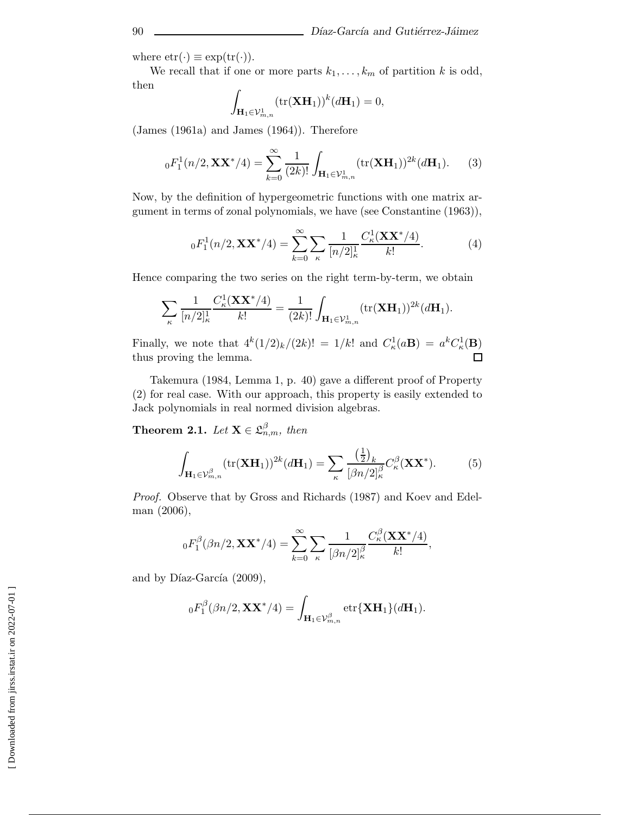where  $etr(\cdot) \equiv exp(tr(\cdot)).$ 

We recall that if one or more parts  $k_1, \ldots, k_m$  of partition k is odd, then

$$
\int_{\mathbf{H}_1 \in \mathcal{V}_{m,n}^1} (\text{tr}(\mathbf{X} \mathbf{H}_1))^k (d\mathbf{H}_1) = 0,
$$

(James (1961a) and James (1964)). Therefore

$$
{}_0F_1^1(n/2, \mathbf{XX}^*/4) = \sum_{k=0}^{\infty} \frac{1}{(2k)!} \int_{\mathbf{H}_1 \in \mathcal{V}_{m,n}^1} (\text{tr}(\mathbf{X} \mathbf{H}_1))^{2k} (d\mathbf{H}_1).
$$
 (3)

Now, by the definition of hypergeometric functions with one matrix argument in terms of zonal polynomials, we have (see Constantine (1963)),

$$
{}_{0}F_{1}^{1}(n/2, \mathbf{XX}^{*}/4) = \sum_{k=0}^{\infty} \sum_{\kappa} \frac{1}{[n/2]_{\kappa}^{1}} \frac{C_{\kappa}^{1}(\mathbf{XX}^{*}/4)}{k!}.
$$
 (4)

Hence comparing the two series on the right term-by-term, we obtain

$$
\sum_{\kappa} \frac{1}{[n/2]_{\kappa}^1} \frac{C_{\kappa}^1(\mathbf{X} \mathbf{X}^*/4)}{k!} = \frac{1}{(2k)!} \int_{\mathbf{H}_1 \in \mathcal{V}_{m,n}^1} (\text{tr}(\mathbf{X} \mathbf{H}_1))^{2k} (d\mathbf{H}_1).
$$

Finally, we note that  $4^k(1/2)_k/(2k)! = 1/k!$  and  $C_k^1(a\mathbf{B}) = a^k C_k^1(\mathbf{B})$ thus proving the lemma.  $\Box$ 

Takemura (1984, Lemma 1, p. 40) gave a different proof of Property (2) for real case. With our approach, this property is easily extended to Jack polynomials in real normed division algebras.

**Theorem 2.1.** *Let*  $\mathbf{X} \in \mathcal{L}_{n,m}^{\beta}$ *, then* 

$$
\int_{\mathbf{H}_1 \in \mathcal{V}_{m,n}^{\beta}} (\text{tr}(\mathbf{X}\mathbf{H}_1))^{2k} (d\mathbf{H}_1) = \sum_{\kappa} \frac{\left(\frac{1}{2}\right)_k}{\left[\beta n/2\right]_{\kappa}^{\beta}} C_{\kappa}^{\beta}(\mathbf{X}\mathbf{X}^*). \tag{5}
$$

*Proof.* Observe that by Gross and Richards (1987) and Koev and Edelman (2006),

$$
{}_0F_1^{\beta}(\beta n/2, \mathbf{XX}^*/4) = \sum_{k=0}^{\infty} \sum_{\kappa} \frac{1}{[\beta n/2]_{\kappa}^{\beta}} \frac{C_{\kappa}^{\beta}(\mathbf{XX}^*/4)}{k!},
$$

and by Díaz-García  $(2009)$ ,

$$
{}_0F_1^{\beta}(\beta n/2, \mathbf{XX}^*/4) = \int_{\mathbf{H}_1 \in \mathcal{V}_{m,n}^{\beta}} \operatorname{etr}\{\mathbf{XH}_1\}(d\mathbf{H}_1).
$$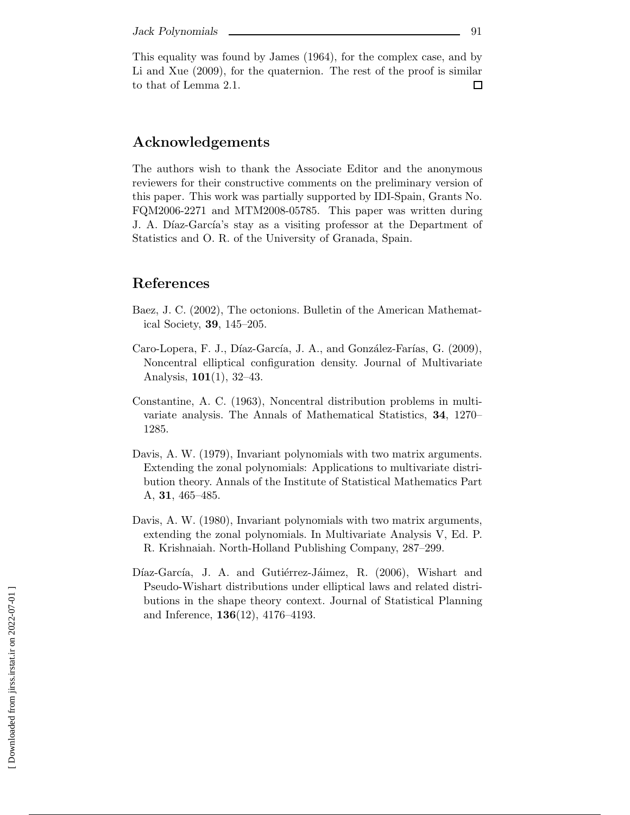This equality was found by James (1964), for the complex case, and by Li and Xue (2009), for the quaternion. The rest of the proof is similar to that of Lemma 2.1.  $\Box$ 

### **Acknowledgements**

The authors wish to thank the Associate Editor and the anonymous reviewers for their constructive comments on the preliminary version of this paper. This work was partially supported by IDI-Spain, Grants No. FQM2006-2271 and MTM2008-05785. This paper was written during J. A. Díaz-García's stay as a visiting professor at the Department of Statistics and O. R. of the University of Granada, Spain.

## **References**

- Baez, J. C. (2002), The octonions. Bulletin of the American Mathematical Society, **39**, 145–205.
- Caro-Lopera, F. J., Díaz-García, J. A., and González-Farías, G. (2009), Noncentral elliptical configuration density. Journal of Multivariate Analysis, **101**(1), 32–43.
- Constantine, A. C. (1963), Noncentral distribution problems in multivariate analysis. The Annals of Mathematical Statistics, **34**, 1270– 1285.
- Davis, A. W. (1979), Invariant polynomials with two matrix arguments. Extending the zonal polynomials: Applications to multivariate distribution theory. Annals of the Institute of Statistical Mathematics Part A, **31**, 465–485.
- Davis, A. W. (1980), Invariant polynomials with two matrix arguments, extending the zonal polynomials. In Multivariate Analysis V, Ed. P. R. Krishnaiah. North-Holland Publishing Company, 287–299.
- Díaz-García, J. A. and Gutiérrez-Jáimez, R. (2006), Wishart and Pseudo-Wishart distributions under elliptical laws and related distributions in the shape theory context. Journal of Statistical Planning and Inference, **136**(12), 4176–4193.